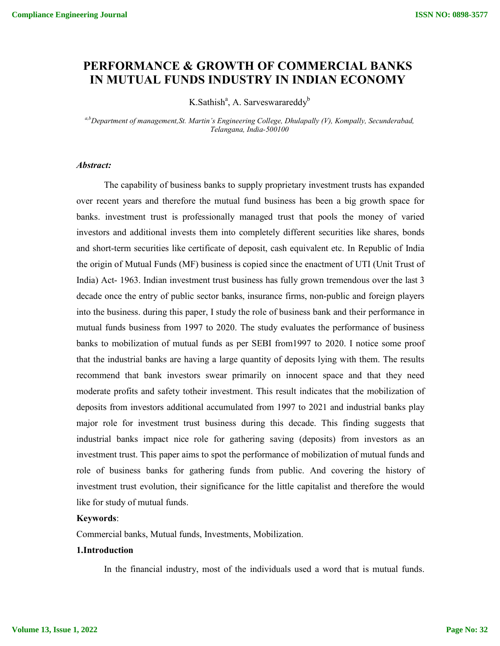# **PERFORMANCE & GROWTH OF COMMERCIAL BANKS IN MUTUAL FUNDS INDUSTRY IN INDIAN ECONOMY**

K.Sathish<sup>a</sup>, A. Sarveswarareddy<sup>b</sup>

*a,b Department of management,St. Martin's Engineering College, Dhulapally (V), Kompally, Secunderabad, Telangana, India-500100*

## *Abstract:*

The capability of business banks to supply proprietary investment trusts has expanded over recent years and therefore the mutual fund business has been a big growth space for banks. investment trust is professionally managed trust that pools the money of varied investors and additional invests them into completely different securities like shares, bonds and short-term securities like certificate of deposit, cash equivalent etc. In Republic of India the origin of Mutual Funds (MF) business is copied since the enactment of UTI (Unit Trust of India) Act- 1963. Indian investment trust business has fully grown tremendous over the last 3 decade once the entry of public sector banks, insurance firms, non-public and foreign players into the business. during this paper, I study the role of business bank and their performance in mutual funds business from 1997 to 2020. The study evaluates the performance of business banks to mobilization of mutual funds as per SEBI from1997 to 2020. I notice some proof that the industrial banks are having a large quantity of deposits lying with them. The results recommend that bank investors swear primarily on innocent space and that they need moderate profits and safety totheir investment. This result indicates that the mobilization of deposits from investors additional accumulated from 1997 to 2021 and industrial banks play major role for investment trust business during this decade. This finding suggests that industrial banks impact nice role for gathering saving (deposits) from investors as an investment trust. This paper aims to spot the performance of mobilization of mutual funds and role of business banks for gathering funds from public. And covering the history of investment trust evolution, their significance for the little capitalist and therefore the would like for study of mutual funds.

### **Keywords**:

Commercial banks, Mutual funds, Investments, Mobilization.

### **1.Introduction**

In the financial industry, most of the individuals used a word that is mutual funds.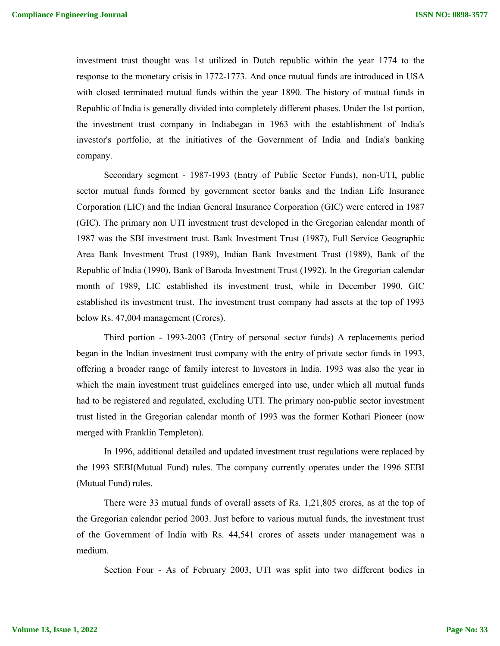investment trust thought was 1st utilized in Dutch republic within the year 1774 to the response to the monetary crisis in 1772-1773. And once mutual funds are introduced in USA with closed terminated mutual funds within the year 1890. The history of mutual funds in Republic of India is generally divided into completely different phases. Under the 1st portion, the investment trust company in Indiabegan in 1963 with the establishment of India's investor's portfolio, at the initiatives of the Government of India and India's banking company.

Secondary segment - 1987-1993 (Entry of Public Sector Funds), non-UTI, public sector mutual funds formed by government sector banks and the Indian Life Insurance Corporation (LIC) and the Indian General Insurance Corporation (GIC) were entered in 1987 (GIC). The primary non UTI investment trust developed in the Gregorian calendar month of 1987 was the SBI investment trust. Bank Investment Trust (1987), Full Service Geographic Area Bank Investment Trust (1989), Indian Bank Investment Trust (1989), Bank of the Republic of India (1990), Bank of Baroda Investment Trust (1992). In the Gregorian calendar month of 1989, LIC established its investment trust, while in December 1990, GIC established its investment trust. The investment trust company had assets at the top of 1993 below Rs. 47,004 management (Crores).

Third portion - 1993-2003 (Entry of personal sector funds) A replacements period began in the Indian investment trust company with the entry of private sector funds in 1993, offering a broader range of family interest to Investors in India. 1993 was also the year in which the main investment trust guidelines emerged into use, under which all mutual funds had to be registered and regulated, excluding UTI. The primary non-public sector investment trust listed in the Gregorian calendar month of 1993 was the former Kothari Pioneer (now merged with Franklin Templeton).

In 1996, additional detailed and updated investment trust regulations were replaced by the 1993 SEBI(Mutual Fund) rules. The company currently operates under the 1996 SEBI (Mutual Fund) rules.

There were 33 mutual funds of overall assets of Rs. 1,21,805 crores, as at the top of the Gregorian calendar period 2003. Just before to various mutual funds, the investment trust of the Government of India with Rs. 44,541 crores of assets under management was a medium.

Section Four - As of February 2003, UTI was split into two different bodies in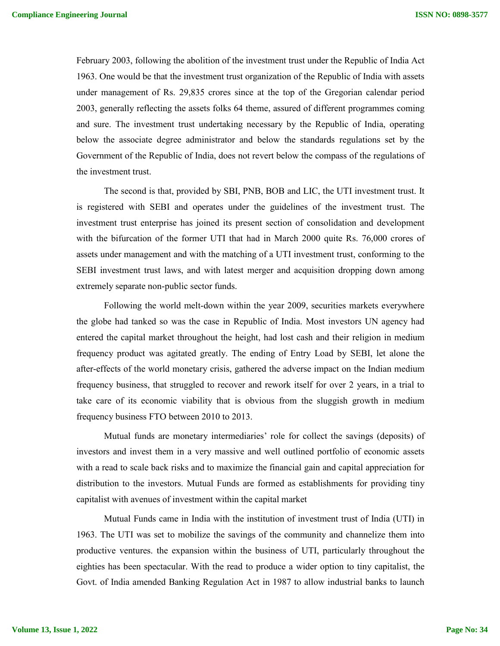February 2003, following the abolition of the investment trust under the Republic of India Act 1963. One would be that the investment trust organization of the Republic of India with assets under management of Rs. 29,835 crores since at the top of the Gregorian calendar period 2003, generally reflecting the assets folks 64 theme, assured of different programmes coming and sure. The investment trust undertaking necessary by the Republic of India, operating below the associate degree administrator and below the standards regulations set by the Government of the Republic of India, does not revert below the compass of the regulations of the investment trust.

The second is that, provided by SBI, PNB, BOB and LIC, the UTI investment trust. It is registered with SEBI and operates under the guidelines of the investment trust. The investment trust enterprise has joined its present section of consolidation and development with the bifurcation of the former UTI that had in March 2000 quite Rs. 76,000 crores of assets under management and with the matching of a UTI investment trust, conforming to the SEBI investment trust laws, and with latest merger and acquisition dropping down among extremely separate non-public sector funds.

Following the world melt-down within the year 2009, securities markets everywhere the globe had tanked so was the case in Republic of India. Most investors UN agency had entered the capital market throughout the height, had lost cash and their religion in medium frequency product was agitated greatly. The ending of Entry Load by SEBI, let alone the after-effects of the world monetary crisis, gathered the adverse impact on the Indian medium frequency business, that struggled to recover and rework itself for over 2 years, in a trial to take care of its economic viability that is obvious from the sluggish growth in medium frequency business FTO between 2010 to 2013.

Mutual funds are monetary intermediaries' role for collect the savings (deposits) of investors and invest them in a very massive and well outlined portfolio of economic assets with a read to scale back risks and to maximize the financial gain and capital appreciation for distribution to the investors. Mutual Funds are formed as establishments for providing tiny capitalist with avenues of investment within the capital market

Mutual Funds came in India with the institution of investment trust of India (UTI) in 1963. The UTI was set to mobilize the savings of the community and channelize them into productive ventures. the expansion within the business of UTI, particularly throughout the eighties has been spectacular. With the read to produce a wider option to tiny capitalist, the Govt. of India amended Banking Regulation Act in 1987 to allow industrial banks to launch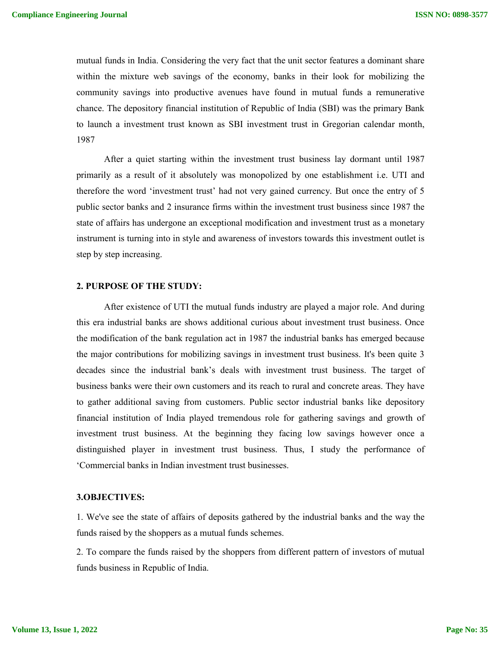mutual funds in India. Considering the very fact that the unit sector features a dominant share within the mixture web savings of the economy, banks in their look for mobilizing the community savings into productive avenues have found in mutual funds a remunerative chance. The depository financial institution of Republic of India (SBI) was the primary Bank to launch a investment trust known as SBI investment trust in Gregorian calendar month, 1987

After a quiet starting within the investment trust business lay dormant until 1987 primarily as a result of it absolutely was monopolized by one establishment i.e. UTI and therefore the word 'investment trust' had not very gained currency. But once the entry of 5 public sector banks and 2 insurance firms within the investment trust business since 1987 the state of affairs has undergone an exceptional modification and investment trust as a monetary instrument is turning into in style and awareness of investors towards this investment outlet is step by step increasing.

#### **2. PURPOSE OF THE STUDY:**

After existence of UTI the mutual funds industry are played a major role. And during this era industrial banks are shows additional curious about investment trust business. Once the modification of the bank regulation act in 1987 the industrial banks has emerged because the major contributions for mobilizing savings in investment trust business. It's been quite 3 decades since the industrial bank's deals with investment trust business. The target of business banks were their own customers and its reach to rural and concrete areas. They have to gather additional saving from customers. Public sector industrial banks like depository financial institution of India played tremendous role for gathering savings and growth of investment trust business. At the beginning they facing low savings however once a distinguished player in investment trust business. Thus, I study the performance of 'Commercial banks in Indian investment trust businesses.

# **3.OBJECTIVES:**

1. We've see the state of affairs of deposits gathered by the industrial banks and the way the funds raised by the shoppers as a mutual funds schemes.

2. To compare the funds raised by the shoppers from different pattern of investors of mutual funds business in Republic of India.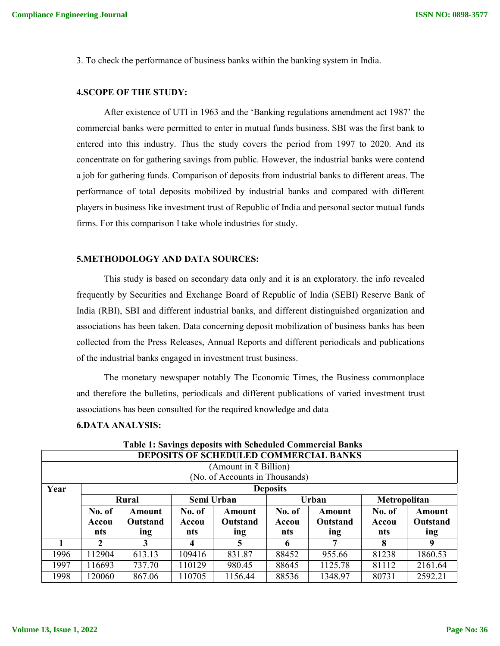3. To check the performance of business banks within the banking system in India.

#### **4.SCOPE OF THE STUDY:**

After existence of UTI in 1963 and the 'Banking regulations amendment act 1987' the commercial banks were permitted to enter in mutual funds business. SBI was the first bank to entered into this industry. Thus the study covers the period from 1997 to 2020. And its concentrate on for gathering savings from public. However, the industrial banks were contend a job for gathering funds. Comparison of deposits from industrial banks to different areas. The performance of total deposits mobilized by industrial banks and compared with different players in business like investment trust of Republic of India and personal sector mutual funds firms. For this comparison I take whole industries for study.

### **5.METHODOLOGY AND DATA SOURCES:**

This study is based on secondary data only and it is an exploratory. the info revealed frequently by Securities and Exchange Board of Republic of India (SEBI) Reserve Bank of India (RBI), SBI and different industrial banks, and different distinguished organization and associations has been taken. Data concerning deposit mobilization of business banks has been collected from the Press Releases, Annual Reports and different periodicals and publications of the industrial banks engaged in investment trust business.

The monetary newspaper notably The Economic Times, the Business commonplace and therefore the bulletins, periodicals and different publications of varied investment trust associations has been consulted for the required knowledge and data

#### **6.DATA ANALYSIS:**

| <b>DEPOSITS OF SCHEDULED COMMERCIAL BANKS</b>                               |              |        |        |                                |        |          |              |         |  |
|-----------------------------------------------------------------------------|--------------|--------|--------|--------------------------------|--------|----------|--------------|---------|--|
| (Amount in ₹ Billion)                                                       |              |        |        |                                |        |          |              |         |  |
|                                                                             |              |        |        | (No. of Accounts in Thousands) |        |          |              |         |  |
| Year<br><b>Deposits</b>                                                     |              |        |        |                                |        |          |              |         |  |
|                                                                             |              | Rural  |        | Semi Urban                     |        | Urban    | Metropolitan |         |  |
|                                                                             | No. of       | Amount | No. of | Amount                         | No. of | Amount   | No. of       | Amount  |  |
| Outstand<br><b>Outstand</b><br>Outstand<br>Accou<br>Accou<br>Accou<br>Accou |              |        |        |                                |        | Outstand |              |         |  |
|                                                                             |              |        |        |                                |        |          |              |         |  |
|                                                                             | nts          | ing    | nts    | ing                            | nts    | ing      | nts          | ing     |  |
|                                                                             | $\mathbf{2}$ | 3      |        | 5                              | 6      | 7        | 8            | 9       |  |
| 1996                                                                        | 112904       | 613.13 | 109416 | 831.87                         | 88452  | 955.66   | 81238        | 1860.53 |  |
| 1997                                                                        | 116693       | 737.70 | 110129 | 980.45                         | 88645  | 1125.78  | 81112        | 2161.64 |  |

**Table 1: Savings deposits with Scheduled Commercial Banks**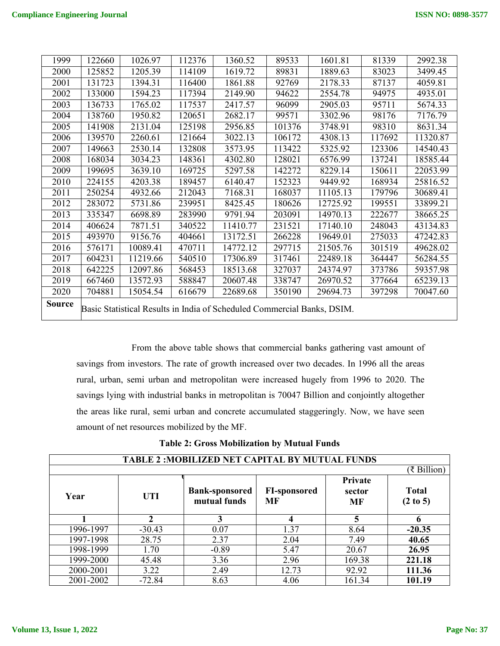| 1999          | 122660                                                                  | 1026.97  | 112376 | 1360.52  | 89533  | 1601.81  | 81339  | 2992.38  |
|---------------|-------------------------------------------------------------------------|----------|--------|----------|--------|----------|--------|----------|
| 2000          | 125852                                                                  | 1205.39  | 114109 | 1619.72  | 89831  | 1889.63  | 83023  | 3499.45  |
| 2001          | 131723                                                                  | 1394.31  | 116400 | 1861.88  | 92769  | 2178.33  | 87137  | 4059.81  |
| 2002          | 133000                                                                  | 1594.23  | 117394 | 2149.90  | 94622  | 2554.78  | 94975  | 4935.01  |
| 2003          | 136733                                                                  | 1765.02  | 117537 | 2417.57  | 96099  | 2905.03  | 95711  | 5674.33  |
| 2004          | 138760                                                                  | 1950.82  | 120651 | 2682.17  | 99571  | 3302.96  | 98176  | 7176.79  |
| 2005          | 141908                                                                  | 2131.04  | 125198 | 2956.85  | 101376 | 3748.91  | 98310  | 8631.34  |
| 2006          | 139570                                                                  | 2260.61  | 121664 | 3022.13  | 106172 | 4308.13  | 117692 | 11320.87 |
| 2007          | 149663                                                                  | 2530.14  | 132808 | 3573.95  | 113422 | 5325.92  | 123306 | 14540.43 |
| 2008          | 168034                                                                  | 3034.23  | 148361 | 4302.80  | 128021 | 6576.99  | 137241 | 18585.44 |
| 2009          | 199695                                                                  | 3639.10  | 169725 | 5297.58  | 142272 | 8229.14  | 150611 | 22053.99 |
| 2010          | 224155                                                                  | 4203.38  | 189457 | 6140.47  | 152323 | 9449.92  | 168934 | 25816.52 |
| 2011          | 250254                                                                  | 4932.66  | 212043 | 7168.31  | 168037 | 11105.13 | 179796 | 30689.41 |
| 2012          | 283072                                                                  | 5731.86  | 239951 | 8425.45  | 180626 | 12725.92 | 199551 | 33899.21 |
| 2013          | 335347                                                                  | 6698.89  | 283990 | 9791.94  | 203091 | 14970.13 | 222677 | 38665.25 |
| 2014          | 406624                                                                  | 7871.51  | 340522 | 11410.77 | 231521 | 17140.10 | 248043 | 43134.83 |
| 2015          | 493970                                                                  | 9156.76  | 404661 | 13172.51 | 266228 | 19649.01 | 275033 | 47242.83 |
| 2016          | 576171                                                                  | 10089.41 | 470711 | 14772.12 | 297715 | 21505.76 | 301519 | 49628.02 |
| 2017          | 604231                                                                  | 11219.66 | 540510 | 17306.89 | 317461 | 22489.18 | 364447 | 56284.55 |
| 2018          | 642225                                                                  | 12097.86 | 568453 | 18513.68 | 327037 | 24374.97 | 373786 | 59357.98 |
| 2019          | 667460                                                                  | 13572.93 | 588847 | 20607.48 | 338747 | 26970.52 | 377664 | 65239.13 |
| 2020          | 704881                                                                  | 15054.54 | 616679 | 22689.68 | 350190 | 29694.73 | 397298 | 70047.60 |
| <b>Source</b> | Basic Statistical Results in India of Scheduled Commercial Banks, DSIM. |          |        |          |        |          |        |          |

From the above table shows that commercial banks gathering vast amount of savings from investors. The rate of growth increased over two decades. In 1996 all the areas rural, urban, semi urban and metropolitan were increased hugely from 1996 to 2020. The savings lying with industrial banks in metropolitan is 70047 Billion and conjointly altogether the areas like rural, semi urban and concrete accumulated staggeringly. Now, we have seen amount of net resources mobilized by the MF.

|  |  | <b>Table 2: Gross Mobilization by Mutual Funds</b> |
|--|--|----------------------------------------------------|
|  |  |                                                    |

| <b>TABLE 2: MOBILIZED NET CAPITAL BY MUTUAL FUNDS</b> |             |                                       |                           |                         |                                     |  |  |  |  |
|-------------------------------------------------------|-------------|---------------------------------------|---------------------------|-------------------------|-------------------------------------|--|--|--|--|
|                                                       | (₹ Billion) |                                       |                           |                         |                                     |  |  |  |  |
| Year                                                  | <b>UTI</b>  | <b>Bank-sponsored</b><br>mutual funds | <b>FI-sponsored</b><br>MF | Private<br>sector<br>MF | <b>Total</b><br>$(2 \text{ to } 5)$ |  |  |  |  |
|                                                       | ∍           | 3                                     |                           |                         | 6                                   |  |  |  |  |
| 1996-1997                                             | $-30.43$    | 0.07                                  | 1.37                      | 8.64                    | $-20.35$                            |  |  |  |  |
| 1997-1998                                             | 28.75       | 2.37                                  | 2.04                      | 7.49                    | 40.65                               |  |  |  |  |
| 1998-1999                                             | 1.70        | $-0.89$                               | 5.47                      | 20.67                   | 26.95                               |  |  |  |  |
| 1999-2000                                             | 45.48       | 3.36                                  | 2.96                      | 169.38                  | 221.18                              |  |  |  |  |
| 2000-2001                                             | 3.22        | 2.49                                  | 12.73                     | 92.92                   | 111.36                              |  |  |  |  |
| 2001-2002                                             | $-72.84$    | 8.63                                  | 4.06                      | 161.34                  | 101.19                              |  |  |  |  |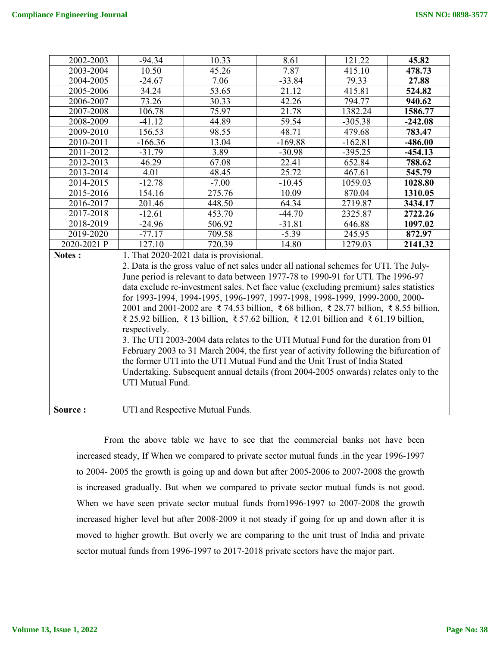| 2002-2003   | $-94.34$                                                                              | 10.33                                                                                   | 8.61                | 121.22    | 45.82     |  |  |  |
|-------------|---------------------------------------------------------------------------------------|-----------------------------------------------------------------------------------------|---------------------|-----------|-----------|--|--|--|
| 2003-2004   | 10.50                                                                                 | 45.26                                                                                   | 7.87                | 415.10    | 478.73    |  |  |  |
| 2004-2005   | $-24.67$                                                                              | 7.06                                                                                    | $-33.84$            | 79.33     | 27.88     |  |  |  |
| 2005-2006   | 34.24                                                                                 | 53.65                                                                                   | 21.12               | 415.81    | 524.82    |  |  |  |
| 2006-2007   | 73.26                                                                                 | 30.33                                                                                   | 42.26               | 794.77    | 940.62    |  |  |  |
| 2007-2008   | 106.78                                                                                | 75.97                                                                                   | 21.78               | 1382.24   | 1586.77   |  |  |  |
| 2008-2009   | $-41.12$                                                                              | 44.89                                                                                   | 59.54               | $-305.38$ | $-242.08$ |  |  |  |
| 2009-2010   | 156.53                                                                                | 98.55                                                                                   | 48.71               | 479.68    | 783.47    |  |  |  |
| 2010-2011   | $-166.36$                                                                             | 13.04                                                                                   | $-169.88$           | $-162.81$ | $-486.00$ |  |  |  |
| 2011-2012   | $-31.79$                                                                              | 3.89                                                                                    | $-30.98$            | $-395.25$ | $-454.13$ |  |  |  |
| 2012-2013   | 46.29                                                                                 | 67.08                                                                                   | 22.41               | 652.84    | 788.62    |  |  |  |
| 2013-2014   | 4.01                                                                                  | 48.45                                                                                   | $\overline{2}$ 5.72 | 467.61    | 545.79    |  |  |  |
| 2014-2015   | $-12.78$                                                                              | $-7.00$                                                                                 | $-10.45$            | 1059.03   | 1028.80   |  |  |  |
| 2015-2016   | 154.16                                                                                | 275.76                                                                                  | 10.09               | 870.04    | 1310.05   |  |  |  |
| 2016-2017   | 201.46                                                                                | 448.50                                                                                  | 64.34               | 2719.87   | 3434.17   |  |  |  |
| 2017-2018   | $-12.61$                                                                              | 453.70                                                                                  | $-44.70$            | 2325.87   | 2722.26   |  |  |  |
| 2018-2019   | $-24.96$                                                                              | 506.92                                                                                  | $-31.81$            | 646.88    | 1097.02   |  |  |  |
| 2019-2020   | $-77.17$                                                                              | 709.58                                                                                  | $-5.39$             | 245.95    | 872.97    |  |  |  |
| 2020-2021 P | 127.10                                                                                | 720.39                                                                                  | 14.80               | 1279.03   | 2141.32   |  |  |  |
| Notes :     |                                                                                       | 1. That 2020-2021 data is provisional.                                                  |                     |           |           |  |  |  |
|             |                                                                                       | 2. Data is the gross value of net sales under all national schemes for UTI. The July-   |                     |           |           |  |  |  |
|             |                                                                                       | June period is relevant to data between 1977-78 to 1990-91 for UTI. The 1996-97         |                     |           |           |  |  |  |
|             | data exclude re-investment sales. Net face value (excluding premium) sales statistics |                                                                                         |                     |           |           |  |  |  |
|             |                                                                                       | for 1993-1994, 1994-1995, 1996-1997, 1997-1998, 1998-1999, 1999-2000, 2000-             |                     |           |           |  |  |  |
|             |                                                                                       | 2001 and 2001-2002 are ₹74.53 billion, ₹68 billion, ₹28.77 billion, ₹8.55 billion,      |                     |           |           |  |  |  |
|             | ₹ 25.92 billion, ₹ 13 billion, ₹ 57.62 billion, ₹ 12.01 billion and ₹ 61.19 billion,  |                                                                                         |                     |           |           |  |  |  |
|             | respectively.                                                                         |                                                                                         |                     |           |           |  |  |  |
|             |                                                                                       | 3. The UTI 2003-2004 data relates to the UTI Mutual Fund for the duration from 01       |                     |           |           |  |  |  |
|             |                                                                                       | February 2003 to 31 March 2004, the first year of activity following the bifurcation of |                     |           |           |  |  |  |
|             |                                                                                       | the former UTI into the UTI Mutual Fund and the Unit Trust of India Stated              |                     |           |           |  |  |  |
|             |                                                                                       | Undertaking. Subsequent annual details (from 2004-2005 onwards) relates only to the     |                     |           |           |  |  |  |
|             | UTI Mutual Fund.                                                                      |                                                                                         |                     |           |           |  |  |  |
|             |                                                                                       |                                                                                         |                     |           |           |  |  |  |
| Source:     | UTI and Respective Mutual Funds.                                                      |                                                                                         |                     |           |           |  |  |  |

From the above table we have to see that the commercial banks not have been increased steady, If When we compared to private sector mutual funds .in the year 1996-1997 to 2004- 2005 the growth is going up and down but after 2005-2006 to 2007-2008 the growth is increased gradually. But when we compared to private sector mutual funds is not good. When we have seen private sector mutual funds from1996-1997 to 2007-2008 the growth increased higher level but after 2008-2009 it not steady if going for up and down after it is moved to higher growth. But overly we are comparing to the unit trust of India and private sector mutual funds from 1996-1997 to 2017-2018 private sectors have the major part.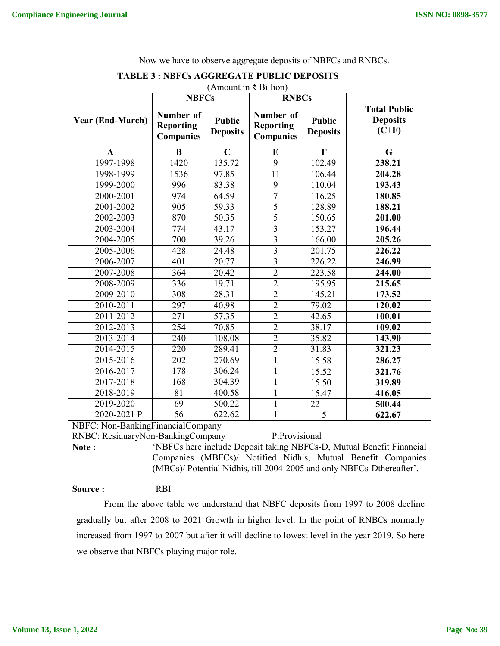| <b>TABLE 3: NBFCs AGGREGATE PUBLIC DEPOSITS</b>                                                                                       |                                                                                                                                                                                |             |                                                   |             |                                                                      |  |  |
|---------------------------------------------------------------------------------------------------------------------------------------|--------------------------------------------------------------------------------------------------------------------------------------------------------------------------------|-------------|---------------------------------------------------|-------------|----------------------------------------------------------------------|--|--|
| (Amount in ₹ Billion)                                                                                                                 |                                                                                                                                                                                |             |                                                   |             |                                                                      |  |  |
|                                                                                                                                       | <b>NBFCs</b>                                                                                                                                                                   |             | <b>RNBCs</b>                                      |             |                                                                      |  |  |
| <b>Year (End-March)</b>                                                                                                               | Number of<br>Number of<br><b>Public</b><br><b>Public</b><br><b>Reporting</b><br><b>Reporting</b><br><b>Deposits</b><br><b>Deposits</b><br><b>Companies</b><br><b>Companies</b> |             | <b>Total Public</b><br><b>Deposits</b><br>$(C+F)$ |             |                                                                      |  |  |
| $\mathbf{A}$                                                                                                                          | $\bf{B}$                                                                                                                                                                       | $\mathbf C$ | ${\bf E}$                                         | $\mathbf F$ | G                                                                    |  |  |
| 1997-1998                                                                                                                             | 1420                                                                                                                                                                           | 135.72      | $\overline{9}$                                    | 102.49      | 238.21                                                               |  |  |
| 1998-1999                                                                                                                             | 1536                                                                                                                                                                           | 97.85       | $\overline{11}$                                   | 106.44      | 204.28                                                               |  |  |
| 1999-2000                                                                                                                             | 996                                                                                                                                                                            | 83.38       | 9                                                 | 110.04      | 193.43                                                               |  |  |
| 2000-2001                                                                                                                             | 974                                                                                                                                                                            | 64.59       | 7                                                 | 116.25      | 180.85                                                               |  |  |
| 2001-2002                                                                                                                             | $\overline{905}$                                                                                                                                                               | 59.33       | 5                                                 | 128.89      | 188.21                                                               |  |  |
| 2002-2003                                                                                                                             | 870                                                                                                                                                                            | 50.35       | 5                                                 | 150.65      | 201.00                                                               |  |  |
| 2003-2004                                                                                                                             | 774                                                                                                                                                                            | 43.17       | $\overline{3}$                                    | 153.27      | 196.44                                                               |  |  |
| 2004-2005                                                                                                                             | 700                                                                                                                                                                            | 39.26       | $\overline{3}$                                    | 166.00      | 205.26                                                               |  |  |
| 2005-2006                                                                                                                             | 428                                                                                                                                                                            | 24.48       | $\overline{\mathbf{3}}$                           | 201.75      | 226.22                                                               |  |  |
| 2006-2007                                                                                                                             | 401                                                                                                                                                                            | 20.77       | $\overline{3}$                                    | 226.22      | 246.99                                                               |  |  |
| 2007-2008                                                                                                                             | 364                                                                                                                                                                            | 20.42       | $\overline{2}$                                    | 223.58      | 244.00                                                               |  |  |
| 2008-2009                                                                                                                             | 336                                                                                                                                                                            | 19.71       | $\overline{2}$                                    | 195.95      | 215.65                                                               |  |  |
| 2009-2010                                                                                                                             | 308                                                                                                                                                                            | 28.31       | $\overline{2}$                                    | 145.21      | 173.52                                                               |  |  |
| 2010-2011                                                                                                                             | 297                                                                                                                                                                            | 40.98       | $\overline{2}$                                    | 79.02       | 120.02                                                               |  |  |
| 2011-2012                                                                                                                             | 271                                                                                                                                                                            | 57.35       | $\overline{2}$                                    | 42.65       | 100.01                                                               |  |  |
| 2012-2013                                                                                                                             | 254                                                                                                                                                                            | 70.85       | $\overline{2}$                                    | 38.17       | 109.02                                                               |  |  |
| 2013-2014                                                                                                                             | 240                                                                                                                                                                            | 108.08      | $\overline{2}$                                    | 35.82       | 143.90                                                               |  |  |
| 2014-2015                                                                                                                             | 220                                                                                                                                                                            | 289.41      | $\overline{2}$                                    | 31.83       | 321.23                                                               |  |  |
| 2015-2016                                                                                                                             | 202                                                                                                                                                                            | 270.69      | $\mathbf{1}$                                      | 15.58       | 286.27                                                               |  |  |
| 2016-2017                                                                                                                             | 178                                                                                                                                                                            | 306.24      | $\mathbf{1}$                                      | 15.52       | 321.76                                                               |  |  |
| 2017-2018                                                                                                                             | 168                                                                                                                                                                            | 304.39      | $\mathbf{1}$                                      | 15.50       | 319.89                                                               |  |  |
| 2018-2019                                                                                                                             | 81                                                                                                                                                                             | 400.58      | $\mathbf{1}$                                      | 15.47       | 416.05                                                               |  |  |
| 2019-2020                                                                                                                             | 69                                                                                                                                                                             | 500.22      | $\mathbf{1}$                                      | 22          | 500.44                                                               |  |  |
| 2020-2021 P                                                                                                                           | 56                                                                                                                                                                             | 622.62      | $\mathbf{1}$                                      | 5           | 622.67                                                               |  |  |
| NBFC: Non-BankingFinancialCompany                                                                                                     |                                                                                                                                                                                |             |                                                   |             |                                                                      |  |  |
| RNBC: ResiduaryNon-BankingCompany                                                                                                     |                                                                                                                                                                                |             | P:Provisional                                     |             |                                                                      |  |  |
| Note:                                                                                                                                 |                                                                                                                                                                                |             |                                                   |             | 'NBFCs here include Deposit taking NBFCs-D, Mutual Benefit Financial |  |  |
| Companies (MBFCs)/ Notified Nidhis, Mutual Benefit Companies<br>(MBCs)/ Potential Nidhis, till 2004-2005 and only NBFCs-Dthereafter'. |                                                                                                                                                                                |             |                                                   |             |                                                                      |  |  |
| Source:                                                                                                                               | <b>RBI</b>                                                                                                                                                                     |             |                                                   |             |                                                                      |  |  |
|                                                                                                                                       |                                                                                                                                                                                |             |                                                   |             |                                                                      |  |  |

Now we have to observe aggregate deposits of NBFCs and RNBCs.

From the above table we understand that NBFC deposits from 1997 to 2008 decline gradually but after 2008 to 2021 Growth in higher level. In the point of RNBCs normally increased from 1997 to 2007 but after it will decline to lowest level in the year 2019. So here we observe that NBFCs playing major role.